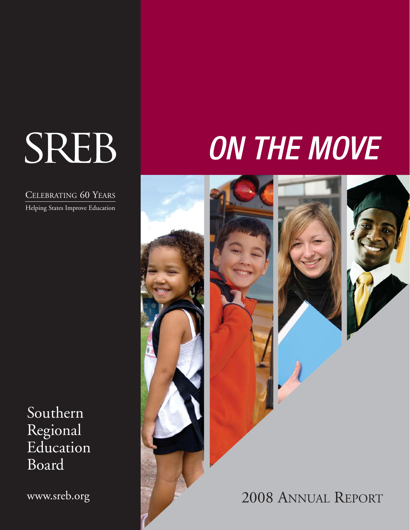# SREB

CELEBRATING 60 YEARS

Helping States Improve Education

Southern Regional Education Board

www.sreb.org

## ON THE MOVE







2008 ANNUAL REPORT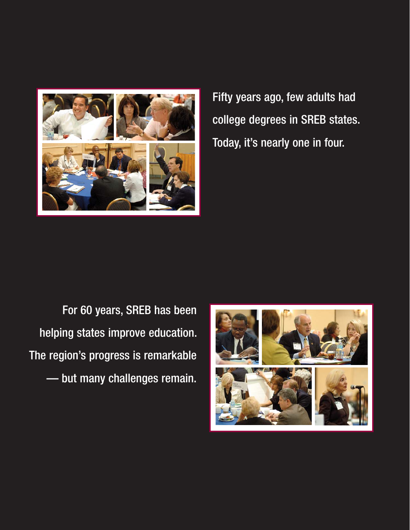

Fifty years ago, few adults had college degrees in SREB states. Today, it's nearly one in four.

For 60 years, SREB has been helping states improve education. The region's progress is remarkable — but many challenges remain.

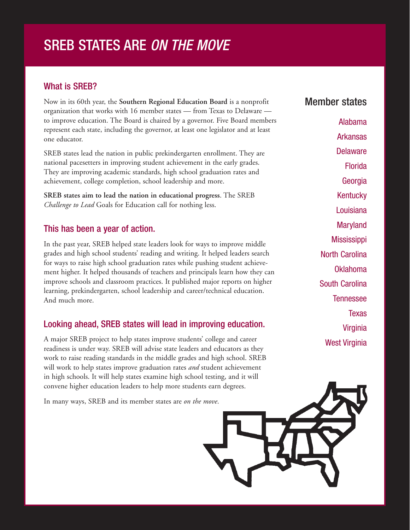## SREB STATES ARE ON THE MOVE

#### What is SREB?

Now in its 60th year, the **Southern Regional Education Board** is a nonprofit organization that works with 16 member states — from Texas to Delaware to improve education. The Board is chaired by a governor. Five Board members represent each state, including the governor, at least one legislator and at least one educator.

SREB states lead the nation in public prekindergarten enrollment. They are national pacesetters in improving student achievement in the early grades. They are improving academic standards, high school graduation rates and achievement, college completion, school leadership and more.

**SREB states aim to lead the nation in educational progress**. The SREB *Challenge to Lead* Goals for Education call for nothing less.

#### This has been a year of action.

In the past year, SREB helped state leaders look for ways to improve middle grades and high school students' reading and writing. It helped leaders search for ways to raise high school graduation rates while pushing student achievement higher. It helped thousands of teachers and principals learn how they can improve schools and classroom practices. It published major reports on higher learning, prekindergarten, school leadership and career/technical education. And much more.

#### Looking ahead, SREB states will lead in improving education.

A major SREB project to help states improve students' college and career readiness is under way. SREB will advise state leaders and educators as they work to raise reading standards in the middle grades and high school. SREB will work to help states improve graduation rates *and* student achievement in high schools. It will help states examine high school testing, and it will convene higher education leaders to help more students earn degrees.

In many ways, SREB and its member states are *on the move*.

#### Member states

Alabama Arkansas **Delaware** Florida **Georgia Kentucky** Louisiana **Maryland Mississippi** North Carolina Oklahoma South Carolina Tennessee Texas Virginia West Virginia

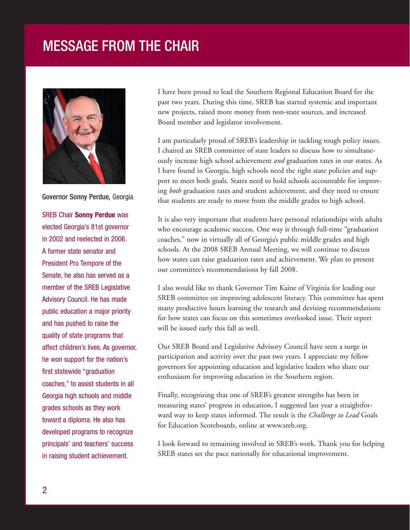## MESSAGE FROM THE CHAIR



Governor Sonny Perdue, Georgia

SREB Chair **Sonny Perdue** was elected Georgia's 81st governor in 2002 and reelected in 2006. A former state senator and President Pro Tempore of the Senate, he also has served as a member of the SREB Legislative Advisory Council. He has made public education a major priority and has pushed to raise the quality of state programs that affect children's lives. As governor, he won support for the nation's first statewide "graduation coaches," to assist students in all Georgia high schools and middle grades schools as they work toward a diploma. He also has developed programs to recognize principals' and teachers' success in raising student achievement.

I have been proud to lead the Southern Regional Education Board for the past two years. During this time, SREB has started systemic and important new projects, raised more money from non-state sources, and increased Board member and legislator involvement.

I am particularly proud of SREB's leadership in tackling tough policy issues. I chaired an SREB committee of state leaders to discuss how to simultaneously increase high school achievement *and* graduation rates in our states. As I have found in Georgia, high schools need the right state policies and support to meet both goals. States need to hold schools accountable for improving *both* graduation rates and student achievement, and they need to ensure that students are ready to move from the middle grades to high school.

It is also very important that students have personal relationships with adults who encourage academic success. One way is through full-time "graduation coaches," now in virtually all of Georgia's public middle grades and high schools. At the 2008 SREB Annual Meeting, we will continue to discuss how states can raise graduation rates and achievement. We plan to present our committee's recommendations by fall 2008.

I also would like to thank Governor Tim Kaine of Virginia for leading our SREB committee on improving adolescent literacy. This committee has spent many productive hours learning the research and devising recommendations for how states can focus on this sometimes overlooked issue. Their report will be issued early this fall as well.

Our SREB Board and Legislative Advisory Council have seen a surge in participation and activity over the past two years. I appreciate my fellow governors for appointing education and legislative leaders who share our enthusiasm for improving education in the Southern region.

Finally, recognizing that one of SREB's greatest strengths has been in measuring states' progress in education, I suggested last year a straightforward way to keep states informed. The result is the *Challenge to Lead* Goals for Education Scoreboards, online at www.sreb.org.

I look forward to remaining involved in SREB's work. Thank you for helping SREB states set the pace nationally for educational improvement.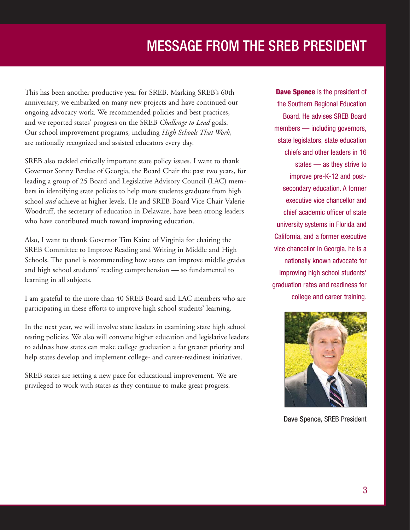## MESSAGE FROM THE SREB PRESIDENT

This has been another productive year for SREB. Marking SREB's 60th anniversary, we embarked on many new projects and have continued our ongoing advocacy work. We recommended policies and best practices, and we reported states' progress on the SREB *Challenge to Lead* goals. Our school improvement programs, including *High Schools That Work*, are nationally recognized and assisted educators every day.

SREB also tackled critically important state policy issues. I want to thank Governor Sonny Perdue of Georgia, the Board Chair the past two years, for leading a group of 25 Board and Legislative Advisory Council (LAC) members in identifying state policies to help more students graduate from high school *and* achieve at higher levels. He and SREB Board Vice Chair Valerie Woodruff, the secretary of education in Delaware, have been strong leaders who have contributed much toward improving education.

Also, I want to thank Governor Tim Kaine of Virginia for chairing the SREB Committee to Improve Reading and Writing in Middle and High Schools. The panel is recommending how states can improve middle grades and high school students' reading comprehension — so fundamental to learning in all subjects.

I am grateful to the more than 40 SREB Board and LAC members who are participating in these efforts to improve high school students' learning.

In the next year, we will involve state leaders in examining state high school testing policies. We also will convene higher education and legislative leaders to address how states can make college graduation a far greater priority and help states develop and implement college- and career-readiness initiatives.

SREB states are setting a new pace for educational improvement. We are privileged to work with states as they continue to make great progress.

**Dave Spence** is the president of the Southern Regional Education Board. He advises SREB Board members — including governors, state legislators, state education chiefs and other leaders in 16 states — as they strive to improve pre-K-12 and postsecondary education. A former executive vice chancellor and chief academic officer of state university systems in Florida and California, and a former executive vice chancellor in Georgia, he is a nationally known advocate for improving high school students' graduation rates and readiness for college and career training.



Dave Spence, SREB President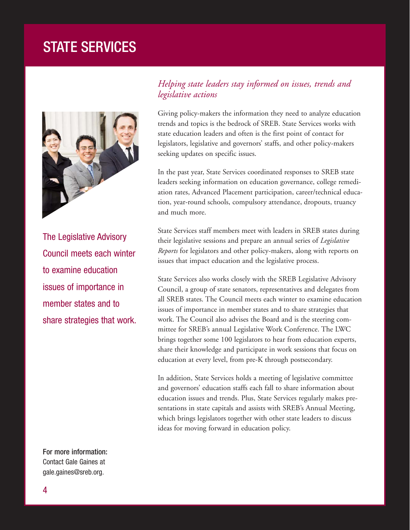## STATE SERVICES



The Legislative Advisory Council meets each winter to examine education issues of importance in member states and to share strategies that work.

#### *Helping state leaders stay informed on issues, trends and legislative actions*

Giving policy-makers the information they need to analyze education trends and topics is the bedrock of SREB. State Services works with state education leaders and often is the first point of contact for legislators, legislative and governors' staffs, and other policy-makers seeking updates on specific issues.

In the past year, State Services coordinated responses to SREB state leaders seeking information on education governance, college remediation rates, Advanced Placement participation, career/technical education, year-round schools, compulsory attendance, dropouts, truancy and much more.

State Services staff members meet with leaders in SREB states during their legislative sessions and prepare an annual series of *Legislative Reports* for legislators and other policy-makers, along with reports on issues that impact education and the legislative process.

State Services also works closely with the SREB Legislative Advisory Council, a group of state senators, representatives and delegates from all SREB states. The Council meets each winter to examine education issues of importance in member states and to share strategies that work. The Council also advises the Board and is the steering committee for SREB's annual Legislative Work Conference. The LWC brings together some 100 legislators to hear from education experts, share their knowledge and participate in work sessions that focus on education at every level, from pre-K through postsecondary.

In addition, State Services holds a meeting of legislative committee and governors' education staffs each fall to share information about education issues and trends. Plus, State Services regularly makes presentations in state capitals and assists with SREB's Annual Meeting, which brings legislators together with other state leaders to discuss ideas for moving forward in education policy.

For more information: Contact Gale Gaines at gale.gaines@sreb.org.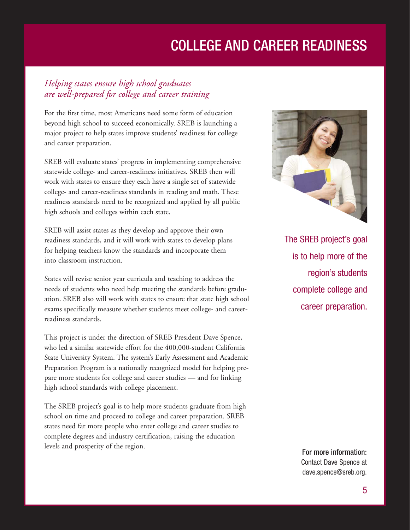## COLLEGE AND CAREER READINESS

#### *Helping states ensure high school graduates are well-prepared for college and career training*

For the first time, most Americans need some form of education beyond high school to succeed economically. SREB is launching a major project to help states improve students' readiness for college and career preparation.

SREB will evaluate states' progress in implementing comprehensive statewide college- and career-readiness initiatives. SREB then will work with states to ensure they each have a single set of statewide college- and career-readiness standards in reading and math. These readiness standards need to be recognized and applied by all public high schools and colleges within each state.

SREB will assist states as they develop and approve their own readiness standards, and it will work with states to develop plans for helping teachers know the standards and incorporate them into classroom instruction.

States will revise senior year curricula and teaching to address the needs of students who need help meeting the standards before graduation. SREB also will work with states to ensure that state high school exams specifically measure whether students meet college- and careerreadiness standards.

This project is under the direction of SREB President Dave Spence, who led a similar statewide effort for the 400,000-student California State University System. The system's Early Assessment and Academic Preparation Program is a nationally recognized model for helping prepare more students for college and career studies — and for linking high school standards with college placement.

The SREB project's goal is to help more students graduate from high school on time and proceed to college and career preparation. SREB states need far more people who enter college and career studies to complete degrees and industry certification, raising the education levels and prosperity of the region.



The SREB project's goal is to help more of the region's students complete college and career preparation.

> For more information: Contact Dave Spence at dave.spence@sreb.org.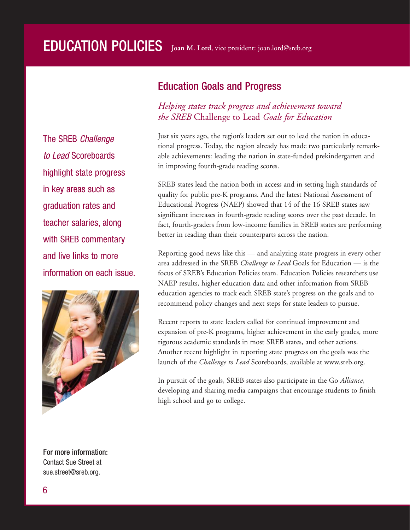The SREB Challenge to Lead Scoreboards highlight state progress in key areas such as graduation rates and teacher salaries, along with SREB commentary and live links to more information on each issue.



For more information: Contact Sue Street at sue.street@sreb.org.

#### Education Goals and Progress

#### *Helping states track progress and achievement toward the SREB* Challenge to Lead *Goals for Education*

Just six years ago, the region's leaders set out to lead the nation in educational progress. Today, the region already has made two particularly remarkable achievements: leading the nation in state-funded prekindergarten and in improving fourth-grade reading scores.

SREB states lead the nation both in access and in setting high standards of quality for public pre-K programs. And the latest National Assessment of Educational Progress (NAEP) showed that 14 of the 16 SREB states saw significant increases in fourth-grade reading scores over the past decade. In fact, fourth-graders from low-income families in SREB states are performing better in reading than their counterparts across the nation.

Reporting good news like this — and analyzing state progress in every other area addressed in the SREB *Challenge to Lead* Goals for Education — is the focus of SREB's Education Policies team. Education Policies researchers use NAEP results, higher education data and other information from SREB education agencies to track each SREB state's progress on the goals and to recommend policy changes and next steps for state leaders to pursue.

Recent reports to state leaders called for continued improvement and expansion of pre-K programs, higher achievement in the early grades, more rigorous academic standards in most SREB states, and other actions. Another recent highlight in reporting state progress on the goals was the launch of the *Challenge to Lead* Scoreboards, available at www.sreb.org.

In pursuit of the goals, SREB states also participate in the Go *Alliance*, developing and sharing media campaigns that encourage students to finish high school and go to college.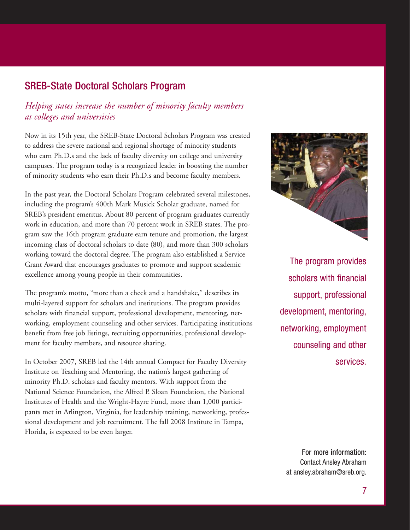#### SREB-State Doctoral Scholars Program

#### *Helping states increase the number of minority faculty members at colleges and universities*

Now in its 15th year, the SREB-State Doctoral Scholars Program was created to address the severe national and regional shortage of minority students who earn Ph.D.s and the lack of faculty diversity on college and university campuses. The program today is a recognized leader in boosting the number of minority students who earn their Ph.D.s and become faculty members.

In the past year, the Doctoral Scholars Program celebrated several milestones, including the program's 400th Mark Musick Scholar graduate, named for SREB's president emeritus. About 80 percent of program graduates currently work in education, and more than 70 percent work in SREB states. The program saw the 16th program graduate earn tenure and promotion, the largest incoming class of doctoral scholars to date (80), and more than 300 scholars working toward the doctoral degree. The program also established a Service Grant Award that encourages graduates to promote and support academic excellence among young people in their communities.

The program's motto, "more than a check and a handshake," describes its multi-layered support for scholars and institutions. The program provides scholars with financial support, professional development, mentoring, networking, employment counseling and other services. Participating institutions benefit from free job listings, recruiting opportunities, professional development for faculty members, and resource sharing.

In October 2007, SREB led the 14th annual Compact for Faculty Diversity Institute on Teaching and Mentoring, the nation's largest gathering of minority Ph.D. scholars and faculty mentors. With support from the National Science Foundation, the Alfred P. Sloan Foundation, the National Institutes of Health and the Wright-Hayre Fund, more than 1,000 participants met in Arlington, Virginia, for leadership training, networking, professional development and job recruitment. The fall 2008 Institute in Tampa, Florida, is expected to be even larger.



The program provides scholars with financial support, professional development, mentoring, networking, employment counseling and other services.

For more information: Contact Ansley Abraham at ansley.abraham@sreb.org.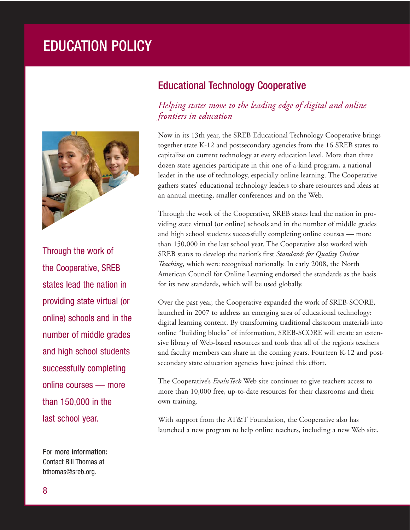## EDUCATION POLICY



Through the work of the Cooperative, SREB states lead the nation in providing state virtual (or online) schools and in the number of middle grades and high school students successfully completing online courses — more than 150,000 in the last school year.

For more information: Contact Bill Thomas at bthomas@sreb.org.

#### Educational Technology Cooperative

#### *Helping states move to the leading edge of digital and online frontiers in education*

Now in its 13th year, the SREB Educational Technology Cooperative brings together state K-12 and postsecondary agencies from the 16 SREB states to capitalize on current technology at every education level. More than three dozen state agencies participate in this one-of-a-kind program, a national leader in the use of technology, especially online learning. The Cooperative gathers states' educational technology leaders to share resources and ideas at an annual meeting, smaller conferences and on the Web.

Through the work of the Cooperative, SREB states lead the nation in providing state virtual (or online) schools and in the number of middle grades and high school students successfully completing online courses — more than 150,000 in the last school year. The Cooperative also worked with SREB states to develop the nation's first *Standards for Quality Online Teaching*, which were recognized nationally. In early 2008, the North American Council for Online Learning endorsed the standards as the basis for its new standards, which will be used globally.

Over the past year, the Cooperative expanded the work of SREB-SCORE, launched in 2007 to address an emerging area of educational technology: digital learning content. By transforming traditional classroom materials into online "building blocks" of information, SREB-SCORE will create an extensive library of Web-based resources and tools that all of the region's teachers and faculty members can share in the coming years. Fourteen K-12 and postsecondary state education agencies have joined this effort.

The Cooperative's *EvaluTech* Web site continues to give teachers access to more than 10,000 free, up-to-date resources for their classrooms and their own training.

With support from the AT&T Foundation, the Cooperative also has launched a new program to help online teachers, including a new Web site.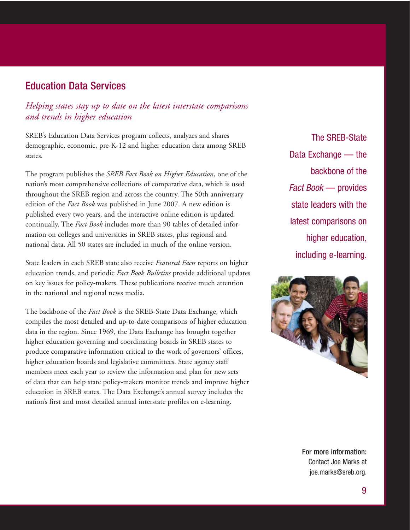#### Education Data Services

#### *Helping states stay up to date on the latest interstate comparisons and trends in higher education*

SREB's Education Data Services program collects, analyzes and shares demographic, economic, pre-K-12 and higher education data among SREB states.

The program publishes the *SREB Fact Book on Higher Education*, one of the nation's most comprehensive collections of comparative data, which is used throughout the SREB region and across the country. The 50th anniversary edition of the *Fact Book* was published in June 2007. A new edition is published every two years, and the interactive online edition is updated continually. The *Fact Book* includes more than 90 tables of detailed information on colleges and universities in SREB states, plus regional and national data. All 50 states are included in much of the online version.

State leaders in each SREB state also receive *Featured Facts* reports on higher education trends, and periodic *Fact Book Bulletins* provide additional updates on key issues for policy-makers. These publications receive much attention in the national and regional news media.

The backbone of the *Fact Book* is the SREB-State Data Exchange, which compiles the most detailed and up-to-date comparisons of higher education data in the region. Since 1969, the Data Exchange has brought together higher education governing and coordinating boards in SREB states to produce comparative information critical to the work of governors' offices, higher education boards and legislative committees. State agency staff members meet each year to review the information and plan for new sets of data that can help state policy-makers monitor trends and improve higher education in SREB states. The Data Exchange's annual survey includes the nation's first and most detailed annual interstate profiles on e-learning.

The SREB-State Data Exchange — the backbone of the Fact Book — provides state leaders with the latest comparisons on higher education, including e-learning.



For more information: Contact Joe Marks at joe.marks@sreb.org.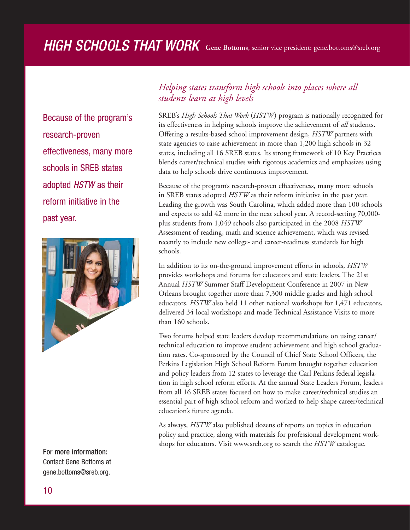## HIGH SCHOOLS THAT WORK **Gene Bottoms**, senior vice president: gene.bottoms@sreb.org

Because of the program's research-proven effectiveness, many more schools in SREB states adopted HSTW as their reform initiative in the past year.



#### For more information:

Contact Gene Bottoms at gene.bottoms@sreb.org.

#### *Helping states transform high schools into places where all students learn at high levels*

SREB's *High Schools That Work* (*HSTW*) program is nationally recognized for its effectiveness in helping schools improve the achievement of *all* students. Offering a results-based school improvement design, *HSTW* partners with state agencies to raise achievement in more than 1,200 high schools in 32 states, including all 16 SREB states. Its strong framework of 10 Key Practices blends career/technical studies with rigorous academics and emphasizes using data to help schools drive continuous improvement.

Because of the program's research-proven effectiveness, many more schools in SREB states adopted *HSTW* as their reform initiative in the past year. Leading the growth was South Carolina, which added more than 100 schools and expects to add 42 more in the next school year. A record-setting 70,000 plus students from 1,049 schools also participated in the 2008 *HSTW* Assessment of reading, math and science achievement, which was revised recently to include new college- and career-readiness standards for high schools.

In addition to its on-the-ground improvement efforts in schools, *HSTW* provides workshops and forums for educators and state leaders. The 21st Annual *HSTW* Summer Staff Development Conference in 2007 in New Orleans brought together more than 7,300 middle grades and high school educators. *HSTW* also held 11 other national workshops for 1,471 educators, delivered 34 local workshops and made Technical Assistance Visits to more than 160 schools.

Two forums helped state leaders develop recommendations on using career/ technical education to improve student achievement and high school graduation rates. Co-sponsored by the Council of Chief State School Officers, the Perkins Legislation High School Reform Forum brought together education and policy leaders from 12 states to leverage the Carl Perkins federal legislation in high school reform efforts. At the annual State Leaders Forum, leaders from all 16 SREB states focused on how to make career/technical studies an essential part of high school reform and worked to help shape career/technical education's future agenda.

As always, *HSTW* also published dozens of reports on topics in education policy and practice, along with materials for professional development workshops for educators. Visit www.sreb.org to search the *HSTW* catalogue.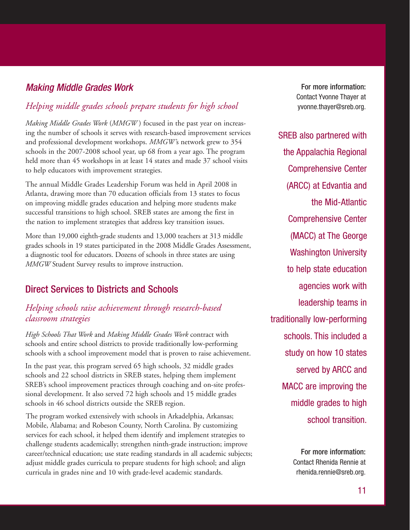#### Making Middle Grades Work

#### *Helping middle grades schools prepare students for high school*

*Making Middle Grades Work* (*MMGW* ) focused in the past year on increasing the number of schools it serves with research-based improvement services and professional development workshops. *MMGW'*s network grew to 354 schools in the 2007-2008 school year, up 68 from a year ago. The program held more than 45 workshops in at least 14 states and made 37 school visits to help educators with improvement strategies.

The annual Middle Grades Leadership Forum was held in April 2008 in Atlanta, drawing more than 70 education officials from 13 states to focus on improving middle grades education and helping more students make successful transitions to high school. SREB states are among the first in the nation to implement strategies that address key transition issues.

More than 19,000 eighth-grade students and 13,000 teachers at 313 middle grades schools in 19 states participated in the 2008 Middle Grades Assessment, a diagnostic tool for educators. Dozens of schools in three states are using *MMGW* Student Survey results to improve instruction.

#### Direct Services to Districts and Schools

#### *Helping schools raise achievement through research-based classroom strategies*

*High Schools That Work* and *Making Middle Grades Work* contract with schools and entire school districts to provide traditionally low-performing schools with a school improvement model that is proven to raise achievement.

In the past year, this program served 65 high schools, 32 middle grades schools and 22 school districts in SREB states, helping them implement SREB's school improvement practices through coaching and on-site professional development. It also served 72 high schools and 15 middle grades schools in 46 school districts outside the SREB region.

The program worked extensively with schools in Arkadelphia, Arkansas; Mobile, Alabama; and Robeson County, North Carolina. By customizing services for each school, it helped them identify and implement strategies to challenge students academically; strengthen ninth-grade instruction; improve career/technical education; use state reading standards in all academic subjects; adjust middle grades curricula to prepare students for high school; and align curricula in grades nine and 10 with grade-level academic standards.

For more information: Contact Yvonne Thayer at yvonne.thayer@sreb.org.

SREB also partnered with the Appalachia Regional Comprehensive Center (ARCC) at Edvantia and the Mid-Atlantic Comprehensive Center (MACC) at The George Washington University to help state education agencies work with leadership teams in traditionally low-performing schools. This included a study on how 10 states served by ARCC and MACC are improving the middle grades to high school transition.

> For more information: Contact Rhenida Rennie at rhenida.rennie@sreb.org.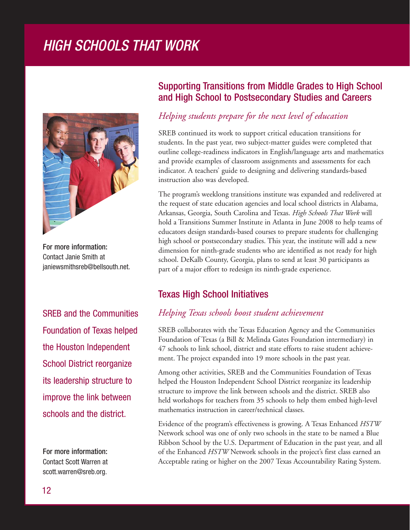## HIGH SCHOOLS THAT WORK



For more information: Contact Janie Smith at janiewsmithsreb@bellsouth.net.

SREB and the Communities Foundation of Texas helped the Houston Independent School District reorganize its leadership structure to improve the link between schools and the district.

For more information: Contact Scott Warren at scott.warren@sreb.org.

#### Supporting Transitions from Middle Grades to High School and High School to Postsecondary Studies and Careers

#### *Helping students prepare for the next level of education*

SREB continued its work to support critical education transitions for students. In the past year, two subject-matter guides were completed that outline college-readiness indicators in English/language arts and mathematics and provide examples of classroom assignments and assessments for each indicator. A teachers' guide to designing and delivering standards-based instruction also was developed.

The program's weeklong transitions institute was expanded and redelivered at the request of state education agencies and local school districts in Alabama, Arkansas, Georgia, South Carolina and Texas. *High Schools That Work* will hold a Transitions Summer Institute in Atlanta in June 2008 to help teams of educators design standards-based courses to prepare students for challenging high school or postsecondary studies. This year, the institute will add a new dimension for ninth-grade students who are identified as not ready for high school. DeKalb County, Georgia, plans to send at least 30 participants as part of a major effort to redesign its ninth-grade experience.

#### Texas High School Initiatives

#### *Helping Texas schools boost student achievement*

SREB collaborates with the Texas Education Agency and the Communities Foundation of Texas (a Bill & Melinda Gates Foundation intermediary) in 47 schools to link school, district and state efforts to raise student achievement. The project expanded into 19 more schools in the past year.

Among other activities, SREB and the Communities Foundation of Texas helped the Houston Independent School District reorganize its leadership structure to improve the link between schools and the district. SREB also held workshops for teachers from 35 schools to help them embed high-level mathematics instruction in career/technical classes.

Evidence of the program's effectiveness is growing. A Texas Enhanced *HSTW* Network school was one of only two schools in the state to be named a Blue Ribbon School by the U.S. Department of Education in the past year, and all of the Enhanced *HSTW* Network schools in the project's first class earned an Acceptable rating or higher on the 2007 Texas Accountability Rating System.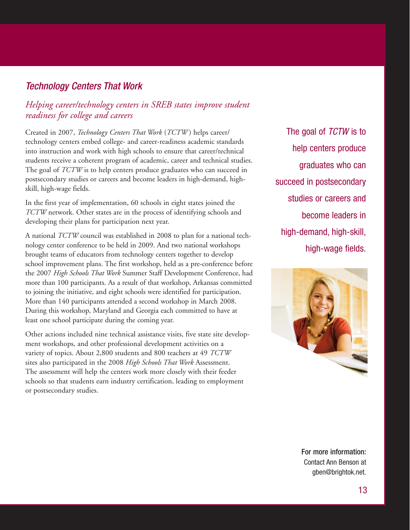#### Technology Centers That Work

#### *Helping career/technology centers in SREB states improve student readiness for college and careers*

Created in 2007, *Technology Centers That Work* (*TCTW* ) helps career/ technology centers embed college- and career-readiness academic standards into instruction and work with high schools to ensure that career/technical students receive a coherent program of academic, career and technical studies. The goal of *TCTW* is to help centers produce graduates who can succeed in postsecondary studies or careers and become leaders in high-demand, highskill, high-wage fields.

In the first year of implementation, 60 schools in eight states joined the *TCTW* network. Other states are in the process of identifying schools and developing their plans for participation next year.

A national *TCTW* council was established in 2008 to plan for a national technology center conference to be held in 2009. And two national workshops brought teams of educators from technology centers together to develop school improvement plans. The first workshop, held as a pre-conference before the 2007 *High Schools That Work* Summer Staff Development Conference, had more than 100 participants. As a result of that workshop, Arkansas committed to joining the initiative, and eight schools were identified for participation. More than 140 participants attended a second workshop in March 2008. During this workshop, Maryland and Georgia each committed to have at least one school participate during the coming year.

Other actions included nine technical assistance visits, five state site development workshops, and other professional development activities on a variety of topics. About 2,800 students and 800 teachers at 49 *TCTW* sites also participated in the 2008 *High Schools That Work* Assessment. The assessment will help the centers work more closely with their feeder schools so that students earn industry certification, leading to employment or postsecondary studies.

The goal of TCTW is to help centers produce graduates who can succeed in postsecondary studies or careers and become leaders in high-demand, high-skill, high-wage fields.



For more information: Contact Ann Benson at gben@brightok.net.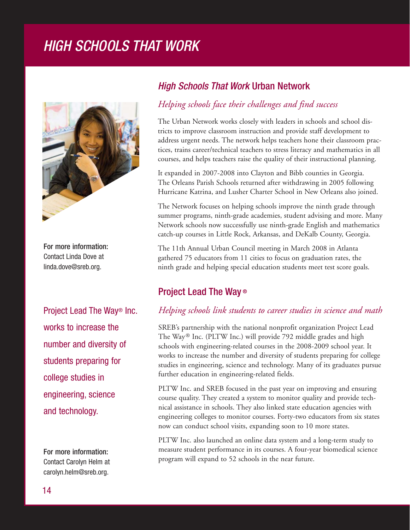## High Schools That Work HIGH SCHOOLS THAT WORK



For more information: For more information: Contact Linda Dove at Contact Linda Dove at linda.dove@sreb.org. linda.dove@sreb.org.

Project Lead The Way works to increase the increase the core than the core than the core than the core than the core the core the c<br>The core the core than the core than the core than the core than the core than the core than the core than the number and diversity of the state of the state of the state of the state of the state of the state of the state of the state of the state of the state of the state of the state of the state of the state of the state of the students preparing for college studies in de la collection in de la collection in de la collection in de la collection in de la colle<br>Collection in de la collection in de la collection in de la collection in de la collection in de la collection engineering, science Project Lead The Way® Inc. works to increase the number and diversity of students preparing for college studies in engineering, science and technology.

For more information: For more information: Contact Carolyn Helm at Contact Carolyn Helm at carolyn.helm@sreb.org. carolyn.helm@sreb.org.

#### High Schools That Work Urban Network High Schools That Work Urban Network

#### *Helping schools face their challenges and find success Helping schools face their challenges and find success*

The Urban Network works closely with leaders in schools and school dis-The Urban Network works closely with leaders in schools and school districts to improve classroom instruction and provide staff development to tricts to improve classroom instruction and provide staff development to address urgent needs. The network helps teachers hone their classroom prac-address urgent needs. The network helps teachers hone their classroom practices, trains career/technical teachers to stress literacy and mathematics in all tices, trains career/technical teachers to stress literacy and mathematics in all courses, and helps teachers raise the quality of their instructional planning. courses, and helps teachers raise the quality of their instructional planning.

It expanded in 2007-2008 into Clayton and Bibb counties in Georgia. The Orleans Parish Schools returned after withdrawing in 2005 following Hurricane Katrina, and Lusher Charter School in New Orleans also joined.

The Network focuses on helping schools improve the ninth grade through The Network focuses on helping schools improve the ninth grade through summer programs, ninth-grade academies, student advising and more. Many summer programs, ninth-grade academies, student advising and more. Many network schools now successfully use ninth-grade English and mathematics Network schools now successfully use ninth-grade English and mathematics catch-up courses in Little Rock, Arkansas, and DeKalb County, Georgia. catch-up courses in Little Rock, Arkansas, and DeKalb County, Georgia.

The 11th Annual Urban Council meeting in March 2008 in Atlanta gathered 75 educators from 11 cities to focus on graduation rates, the grade and helping special education students meet test score goals. ninth grade and helping special education students meet test score goals.

#### Project Lead The Way ®

#### Project Lead The Way® *Helping schools link students to career studies in science and math*

*Helping schools link students to career studies in science and math* The Way® Inc. (PLTW Inc.) will provide 792 middle grades and high schools with engineering-related courses in the 2008-2009 school year. It schools with engineering-related courses in the 2008-2009 school year. It<br>works to increase the number and diversity of students preparing for college studies in engineering, science and technology. Many of its graduates pursue further education in engineering-related fields. SREB's partnership with the national nonprofit organization Project Lead

PLTW Inc. and SREB focused in the past year on improving and ensuring course quality. They created a system to monitor quality and provide technical assistance in schools. They also linked state education agencies with engineering colleges to monitor courses. Forty-two educators from six states now can conduct school visits, expanding soon to 10 more states.

PLTW Inc. also launched an online data system and a long-term study to TET W THE model manufacture in state system and a forg term staty to measure student performance in its courses. A four-year biomedical science program will expand to 52 schools in the near future.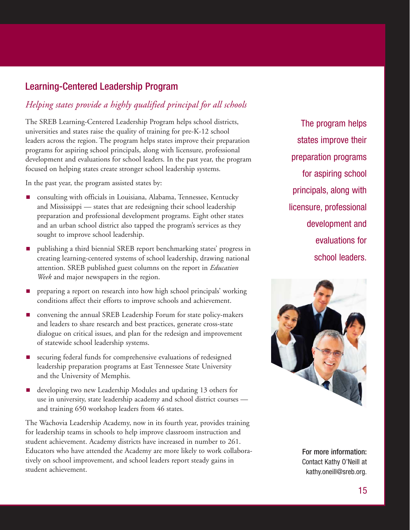#### Learning-Centered Leadership Program Learning-Centered Leadership Program

#### *Helping states provide every student with a highly qualified provide a highly qualified principal for all schools*

*principal* The SREB Learning-Centered Leadership Program helps school districts, universities and states raise the quality of training for pre-K-12 school leaders across the region. The program helps states improve their preparation programs for aspiring school principals, along with licensure, professional development and evaluations for school leaders. In the past year, the program focused on helping states create stronger school leadership systems.

In the past year, the program assisted states by:

- **n** consulting with officials in Louisiana, Alabama, Tennessee, Kentucky and Mississippi — states that are redesigning their school leadership preparation and professional development programs. Eight other states and an urban school district also tapped the program's services as they sought to improve school leadership.
- **n** publishing a third biennial SREB report benchmarking states' progress in creating learning-centered systems of school leadership, drawing national attention. SREB published guest columns on the report in *Education* Week and major newspapers in the region.
- **P** preparing a report on research into how high school principals' working conditions affect their efforts to improve schools and achievement.
- **n** convening the annual SREB Leadership Forum for state policy-makers and leaders to share research and best practices, generate cross-state dialogue on critical issues, and plan for the redesign and improvement of statewide school leadership systems.
- **E** securing federal funds for comprehensive evaluations of redesigned leadership preparation programs at East Tennessee State University and the University of Memphis.
- **a** developing two new Leadership Modules and updating 13 others for use in university, state leadership academy and school district courses and training 650 workshop leaders from 46 states.

The Wachovia Leadership Academy, now in its fourth year, provides training for leadership teams in schools to help improve classroom instruction and student achievement. Academy districts have increased in number to 261. Educators who have attended the Academy are more likely to work collaboratively on school improvement, and school leaders report steady gains in student achievement.

totog improve their states in provement the theorems in the theorems in the theorems in the theorems in the theorems in the theore preparation probable to the probable for a principal school aspected principals in the process of the contract with the contract of the contract with the contract with the contract in the contract of the contract of the contract of the contract of the contract of the contract of the contrac licensure, professional avoluctions for evaluations for The program helps states improve their preparation programs for aspiring school principals, along with licensure, professional development and evaluations for school leaders.



For more information: Contact Kathy O'Neill at kathy.oneill@sreb.org.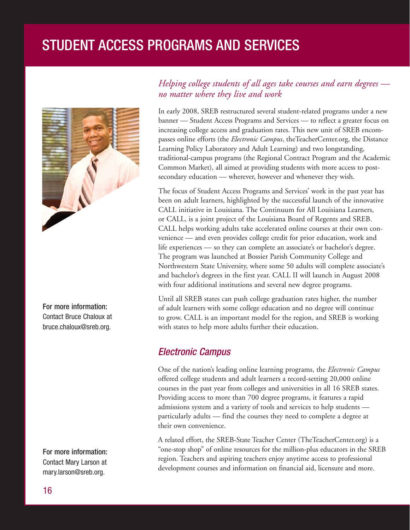## STUDENT ACCESS PROGRAMS AND SERVICES



For more information: Contact Bruce Chaloux at bruce.chaloux@sreb.org.

For more information: Contact Mary Larson at mary.larson@sreb.org.

#### *Helping college students of all ages take courses and earn degrees no matter where they live and work*

In early 2008, SREB restructured several student-related programs under a new banner — Student Access Programs and Services — to reflect a greater focus on increasing college access and graduation rates. This new unit of SREB encompasses online efforts (the *Electronic Campus*, theTeacherCenter.org, the Distance Learning Policy Laboratory and Adult Learning) and two longstanding, traditional-campus programs (the Regional Contract Program and the Academic Common Market), all aimed at providing students with more access to postsecondary education — wherever, however and whenever they wish.

The focus of Student Access Programs and Services' work in the past year has been on adult learners, highlighted by the successful launch of the innovative CALL initiative in Louisiana. The Continuum for All Louisiana Learners, or CALL, is a joint project of the Louisiana Board of Regents and SREB. CALL helps working adults take accelerated online courses at their own convenience — and even provides college credit for prior education, work and life experiences — so they can complete an associate's or bachelor's degree. The program was launched at Bossier Parish Community College and Northwestern State University, where some 50 adults will complete associate's and bachelor's degrees in the first year. CALL II will launch in August 2008 with four additional institutions and several new degree programs.

Until all SREB states can push college graduation rates higher, the number of adult learners with some college education and no degree will continue to grow. CALL is an important model for the region, and SREB is working with states to help more adults further their education.

#### Electronic Campus

One of the nation's leading online learning programs, the *Electronic Campus* offered college students and adult learners a record-setting 20,000 online courses in the past year from colleges and universities in all 16 SREB states. Providing access to more than 700 degree programs, it features a rapid admissions system and a variety of tools and services to help students particularly adults — find the courses they need to complete a degree at their own convenience.

A related effort, the SREB-State Teacher Center (TheTeacherCenter.org) is a "one-stop shop" of online resources for the million-plus educators in the SREB region. Teachers and aspiring teachers enjoy anytime access to professional development courses and information on financial aid, licensure and more.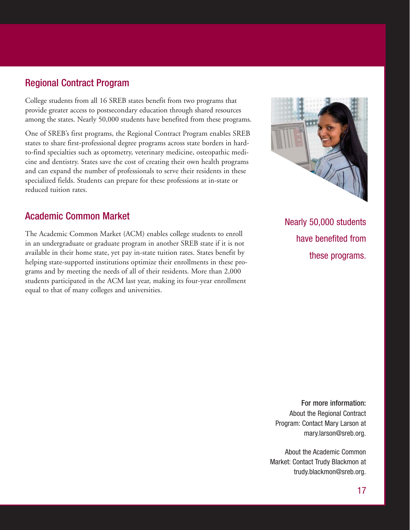#### Regional Contract Program

College students from all 16 SREB states benefit from two programs that provide greater access to postsecondary education through shared resources among the states. Nearly 50,000 students have benefited from these programs.

One of SREB's first programs, the Regional Contract Program enables SREB states to share first-professional degree programs across state borders in hardto-find specialties such as optometry, veterinary medicine, osteopathic medicine and dentistry. States save the cost of creating their own health programs and can expand the number of professionals to serve their residents in these specialized fields. Students can prepare for these professions at in-state or reduced tuition rates.

#### Academic Common Market

The Academic Common Market (ACM) enables college students to enroll in an undergraduate or graduate program in another SREB state if it is not available in their home state, yet pay in-state tuition rates. States benefit by helping state-supported institutions optimize their enrollments in these programs and by meeting the needs of all of their residents. More than 2,000 students participated in the ACM last year, making its four-year enrollment equal to that of many colleges and universities.



Nearly 50,000 students have benefited from these programs.

For more information: About the Regional Contract Program: Contact Mary Larson at mary.larson@sreb.org.

About the Academic Common Market: Contact Trudy Blackmon at trudy.blackmon@sreb.org.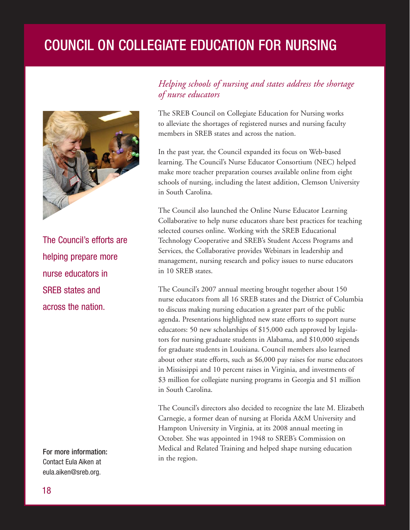## COUNCIL ON COLLEGIATE EDUCATION FOR NURSING



The Council's efforts are helping prepare more nurse educators in SREB states and across the nation.

For more information: Contact Eula Aiken at eula.aiken@sreb.org.

#### *Helping schools of nursing and states address the shortage of nurse educators*

The SREB Council on Collegiate Education for Nursing works to alleviate the shortages of registered nurses and nursing faculty members in SREB states and across the nation.

In the past year, the Council expanded its focus on Web-based learning. The Council's Nurse Educator Consortium (NEC) helped make more teacher preparation courses available online from eight schools of nursing, including the latest addition, Clemson University in South Carolina.

The Council also launched the Online Nurse Educator Learning Collaborative to help nurse educators share best practices for teaching selected courses online. Working with the SREB Educational Technology Cooperative and SREB's Student Access Programs and Services, the Collaborative provides Webinars in leadership and management, nursing research and policy issues to nurse educators in 10 SREB states.

The Council's 2007 annual meeting brought together about 150 nurse educators from all 16 SREB states and the District of Columbia to discuss making nursing education a greater part of the public agenda. Presentations highlighted new state efforts to support nurse educators: 50 new scholarships of \$15,000 each approved by legislators for nursing graduate students in Alabama, and \$10,000 stipends for graduate students in Louisiana. Council members also learned about other state efforts, such as \$6,000 pay raises for nurse educators in Mississippi and 10 percent raises in Virginia, and investments of \$3 million for collegiate nursing programs in Georgia and \$1 million in South Carolina.

The Council's directors also decided to recognize the late M. Elizabeth Carnegie, a former dean of nursing at Florida A&M University and Hampton University in Virginia, at its 2008 annual meeting in October. She was appointed in 1948 to SREB's Commission on Medical and Related Training and helped shape nursing education in the region.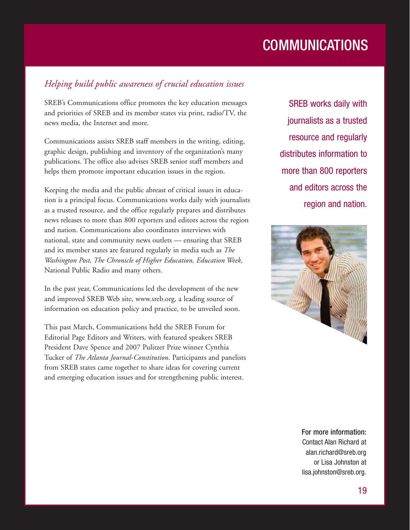## **COMMUNICATIONS**

#### *Helping build public awareness of crucial education issues*

SREB's Communications office promotes the key education messages and priorities of SREB and its member states via print, radio/TV, the news media, the Internet and more.

Communications assists SREB staff members in the writing, editing, graphic design, publishing and inventory of the organization's many publications. The office also advises SREB senior staff members and helps them promote important education issues in the region.

Keeping the media and the public abreast of critical issues in education is a principal focus. Communications works daily with journalists as a trusted resource, and the office regularly prepares and distributes news releases to more than 800 reporters and editors across the region and nation. Communications also coordinates interviews with national, state and community news outlets — ensuring that SREB and its member states are featured regularly in media such as *The Washington Post, The Chronicle of Higher Education, Education Week,* National Public Radio and many others.

In the past year, Communications led the development of the new and improved SREB Web site, www.sreb.org, a leading source of information on education policy and practice, to be unveiled soon.

This past March, Communications held the SREB Forum for Editorial Page Editors and Writers, with featured speakers SREB President Dave Spence and 2007 Pulitzer Prize winner Cynthia Tucker of *The Atlanta Journal-Constitution*. Participants and panelists from SREB states came together to share ideas for covering current and emerging education issues and for strengthening public interest.

SREB works daily with journalists as a trusted resource and regularly distributes information to more than 800 reporters and editors across the region and nation.



For more information: Contact Alan Richard at alan.richard@sreb.org or Lisa Johnston at lisa.johnston@sreb.org.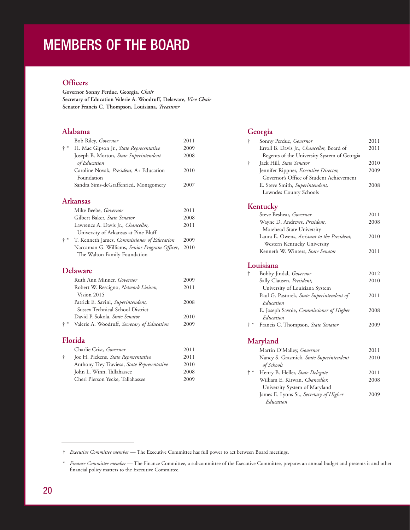## MEMBERS OF THE BOARD

#### **Officers**

**Governor Sonny Perdue, Georgia,** *Chair* **Secretary of Education Valerie A. Woodruff, Delaware,** *Vice Chair* **Senator Francis C. Thompson, Louisiana,** *Treasurer*

#### **Alabama**

|       | Bob Riley, Governor                     | 2011 |
|-------|-----------------------------------------|------|
| $+ *$ | H. Mac Gipson Jr., State Representative | 2009 |
|       | Joseph B. Morton, State Superintendent  | 2008 |
|       | of Education                            |      |
|       | Caroline Novak, President, A+ Education | 2010 |
|       | Foundation                              |      |
|       | Sandra Sims-deGraffenried, Montgomery   | 2007 |
|       |                                         |      |

#### **Arkansas**

|       | Mike Beebe, <i>Governor</i>                        | 2011 |
|-------|----------------------------------------------------|------|
|       | Gilbert Baker, State Senator                       | 2008 |
|       | Lawrence A. Davis Jr., <i>Chancellor</i> ,         | 2011 |
|       | University of Arkansas at Pine Bluff               |      |
| $+ *$ | T. Kenneth James, <i>Commissioner of Education</i> | 2009 |
|       | Naccaman G. Williams, Senior Program Officer, 2010 |      |
|       | The Walton Family Foundation                       |      |
|       |                                                    |      |

#### **Delaware**

|       | Ruth Ann Minner, Governor                   | 2009 |
|-------|---------------------------------------------|------|
|       | Robert W. Rescigno, Network Liaison,        | 2011 |
|       | Vision 2015                                 |      |
|       | Patrick E. Savini, Superintendent,          | 2008 |
|       | Sussex Technical School District            |      |
|       | David P. Sokola, State Senator              | 2010 |
| $+ *$ | Valerie A. Woodruff, Secretary of Education | 2009 |
|       | Florida                                     |      |
|       | $\cap$ $\cup$ $\cap$ $\cap$                 |      |

|   | Charlie Crist, Governor                     | 2011 |
|---|---------------------------------------------|------|
| ÷ | Joe H. Pickens, State Representative        | 2011 |
|   | Anthony Trey Traviesa, State Representative | 2010 |
|   | John L. Winn, Tallahassee                   | 2008 |
|   | Cheri Pierson Yecke, Tallahassee            | 2009 |
|   |                                             |      |

#### **Georgia**

| $\dagger$                       | Sonny Perdue, Governor                                 | 2011 |
|---------------------------------|--------------------------------------------------------|------|
|                                 | Erroll B. Davis Jr., Chancellor, Board of              | 2011 |
|                                 | Regents of the University System of Georgia            |      |
| t                               | Jack Hill, State Senator                               | 2010 |
|                                 | Jennifer Rippner, Executive Director,                  | 2009 |
|                                 | Governor's Office of Student Achievement               |      |
|                                 | E. Steve Smith, Superintendent,                        | 2008 |
|                                 | Lowndes County Schools                                 |      |
|                                 | Kentucky                                               |      |
|                                 | Steve Beshear, Governor                                | 2011 |
|                                 | Wayne D. Andrews, President,                           | 2008 |
|                                 | Morehead State University                              |      |
|                                 | Laura E. Owens, Assistant to the President,            | 2010 |
|                                 | Western Kentucky University                            |      |
|                                 | Kenneth W. Winters, State Senator                      | 2011 |
|                                 | Louisiana                                              |      |
| $\dagger$                       | Bobby Jindal, Governor                                 | 2012 |
|                                 | Sally Clausen, President,                              | 2010 |
|                                 | University of Louisiana System                         |      |
|                                 | Paul G. Pastorek, State Superintendent of<br>Education | 2011 |
|                                 | E. Joseph Savoie, Commissioner of Higher<br>Education  | 2008 |
| † *                             | Francis C. Thompson, State Senator                     | 2009 |
|                                 | Maryland                                               |      |
|                                 |                                                        |      |
|                                 | Martin O'Malley, Governor                              | 2011 |
|                                 | Nancy S. Grasmick, State Superintendent<br>of Schools  | 2010 |
| $^{\mathrm{+}}$ $^{\mathrm{*}}$ | Henry B. Heller, State Delegate                        | 2011 |
|                                 | William E. Kirwan, Chancellor,                         | 2008 |
|                                 | University System of Maryland                          |      |
|                                 | James E. Lyons Sr., Secretary of Higher                | 2009 |

† *Executive Committee member* — The Executive Committee has full power to act between Board meetings.

<sup>\*</sup> *Finance Committee member* — The Finance Committee, a subcommittee of the Executive Committee, prepares an annual budget and presents it and other financial policy matters to the Executive Committee.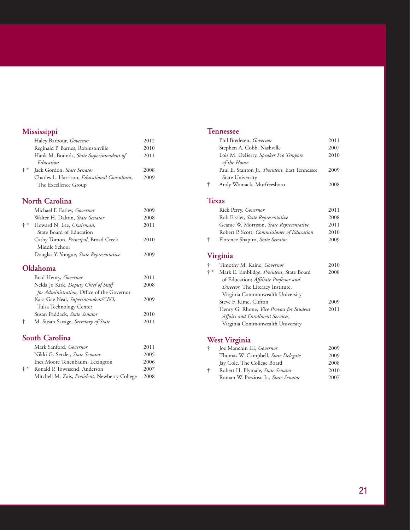#### **Mississippi**

|       | Haley Barbour, Governor                              | 2012 |
|-------|------------------------------------------------------|------|
|       | Reginald P. Barnes, Robinsonville                    | 2010 |
|       | Hank M. Bounds, State Superintendent of              | 2011 |
|       | Education                                            |      |
| $+ *$ | Jack Gordon, State Senator                           | 2008 |
|       | Charles L. Harrison, <i>Educational Consultant</i> , | 2009 |
|       | The Excellence Group                                 |      |
|       |                                                      |      |

#### **North Carolina**

|       | Michael F. Easley, Governor             | 2009 |
|-------|-----------------------------------------|------|
|       | Walter H. Dalton, State Senator         | 2008 |
| $+ *$ | Howard N. Lee, Chairman,                | 2011 |
|       | State Board of Education                |      |
|       | Cathy Tomon, Principal, Broad Creek     | 2010 |
|       | Middle School                           |      |
|       | Douglas Y. Yongue, State Representative | 2009 |
|       |                                         |      |

#### **Oklahoma**

|   | Brad Henry, Governor                       | 2011 |
|---|--------------------------------------------|------|
|   | Nelda Jo Kirk, Deputy Chief of Staff       | 2008 |
|   | for Administration, Office of the Governor |      |
|   | Kara Gae Neal, Superintendent/CEO,         | 2009 |
|   | Tulsa Technology Center                    |      |
|   | Susan Paddack, State Senator               | 2010 |
| ÷ | M. Susan Savage, Secretary of State        | 2011 |
|   |                                            |      |

#### **South Carolina**

|       | Mark Sanford, <i>Governor</i>                         | 2011 |
|-------|-------------------------------------------------------|------|
|       | Nikki G. Setzler, State Senator                       | 2005 |
|       | Inez Moore Tenenbaum, Lexington                       | 2006 |
| $+ *$ | Ronald P. Townsend, Anderson                          | 2007 |
|       | Mitchell M. Zais, <i>President</i> , Newberry College | 2008 |
|       |                                                       |      |

#### **Tennessee**

|   | Phil Bredesen, Governor                        | 2011 |
|---|------------------------------------------------|------|
|   | Stephen A. Cobb, Nashville                     | 2007 |
|   | Lois M. DeBerry, Speaker Pro Tempore           | 2010 |
|   | of the House                                   |      |
|   | Paul E. Stanton Jr., President, East Tennessee | 2009 |
|   | State University                               |      |
| ÷ | Andy Womack, Murfreesboro                      | 2008 |
|   |                                                |      |

#### **Texas**

|   | Rick Perry, Governor                       | 2011 |
|---|--------------------------------------------|------|
|   | Rob Eissler, State Representative          | 2008 |
|   | Geanie W. Morrison, State Representative   | 2011 |
|   | Robert P. Scott, Commissioner of Education | 2010 |
| ÷ | Florence Shapiro, State Senator            | 2009 |

#### **Virginia**

| t     | Timothy M. Kaine, Governor               | 2010 |
|-------|------------------------------------------|------|
| $+ *$ | Mark E. Emblidge, President, State Board | 2008 |
|       | of Education; Affiliate Professor and    |      |
|       | Director, The Literacy Institute,        |      |
|       | Virginia Commonwealth University         |      |
|       | Steve F. Kime, Clifton                   | 2009 |
|       | Henry G. Rhone, Vice Provost for Student | 2011 |
|       | Affairs and Enrollment Services,         |      |
|       | Virginia Commonwealth University         |      |
|       |                                          |      |

#### **West Virginia**

| ÷ | Joe Manchin III, Governor                 | 2009 |
|---|-------------------------------------------|------|
|   | Thomas W. Campbell, <i>State Delegate</i> | 2009 |
|   | Jay Cole, The College Board               | 2008 |
| ÷ | Robert H. Plymale, State Senator          | 2010 |
|   | Roman W. Prezioso Jr., State Senator      | 2007 |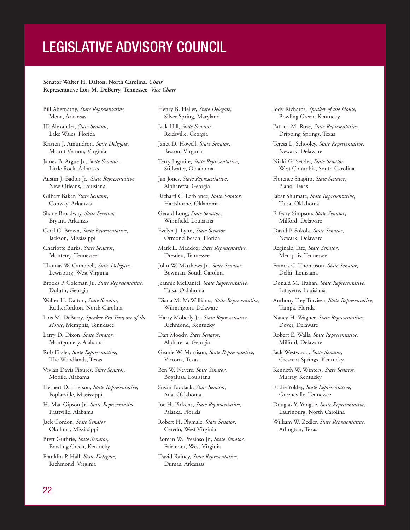## LEGISLATIVE ADVISORY COUNCIL

#### **Senator Walter H. Dalton, North Carolina,** *Chair* **Representative Lois M. DeBerry, Tennessee,** *Vice Chair*

- Bill Abernathy, *State Representative,* Mena, Arkansas
- JD Alexander, *State Senator*, Lake Wales, Florida
- Kristen J. Amundson, *State Delegate*, Mount Vernon, Virginia
- James B. Argue Jr., *State Senator*, Little Rock, Arkansas
- Austin J. Badon Jr., *State Representative*, New Orleans, Louisiana
- Gilbert Baker, *State Senator*, Conway, Arkansas
- Shane Broadway, *State Senator,* Bryant, Arkansas
- Cecil C. Brown, *State Representative*, Jackson, Mississippi
- Charlotte Burks, *State Senator*, Monterey, Tennessee
- Thomas W. Campbell, *State Delegate*, Lewisburg, West Virginia
- Brooks P. Coleman Jr., *State Representative*, Duluth, Georgia
- Walter H. Dalton, *State Senator*, Rutherfordton, North Carolina
- Lois M. DeBerry, *Speaker Pro Tempore of the House*, Memphis, Tennessee
- Larry D. Dixon, *State Senator*, Montgomery, Alabama
- Rob Eissler, *State Representative*, The Woodlands, Texas
- Vivian Davis Figures, *State Senator*, Mobile, Alabama
- Herbert D. Frierson, *State Representative*, Poplarville, Mississippi
- H. Mac Gipson Jr., *State Representative*, Prattville, Alabama
- Jack Gordon, *State Senator*, Okolona, Mississippi
- Brett Guthrie, *State Senator*, Bowling Green, Kentucky
- Franklin P. Hall, *State Delegate*, Richmond, Virginia

Henry B. Heller, *State Delegate*, Silver Spring, Maryland

- Jack Hill, *State Senator*, Reidsville, Georgia
- Janet D. Howell, *State Senator*, Reston, Virginia
- Terry Ingmire, *State Representative*, Stillwater, Oklahoma
- Jan Jones, *State Representative*, Alpharetta, Georgia
- Richard C. Lerblance, *State Senator*, Hartshorne, Oklahoma
- Gerald Long, *State Senator*, Winnfield, Louisiana
- Evelyn J. Lynn, *State Senator*, Ormond Beach, Florida
- Mark L. Maddox, *State Representative*, Dresden, Tennessee
- John W. Matthews Jr., *State Senator*, Bowman, South Carolina
- Jeannie McDaniel, *State Representative*, Tulsa, Oklahoma
- Diana M. McWilliams, *State Representative*, Wilmington, Delaware
- Harry Moberly Jr., *State Representative*, Richmond, Kentucky
- Dan Moody, *State Senator*, Alpharetta, Georgia
- Geanie W. Morrison, *State Representative*, Victoria, Texas
- Ben W. Nevers, *State Senator*, Bogalusa, Louisiana
- Susan Paddack, *State Senator*, Ada, Oklahoma
- Joe H. Pickens, *State Representative*, Palatka, Florida
- Robert H. Plymale, *State Senator*, Ceredo, West Virginia
- Roman W. Prezioso Jr., *State Senator*, Fairmont, West Virginia
- David Rainey, *State Representative,* Dumas, Arkansas
- Jody Richards, *Speaker of the House*, Bowling Green, Kentucky
- Patrick M. Rose, *State Representative,* Dripping Springs, Texas
- Teresa L. Schooley, *State Representative*, Newark, Delaware
- Nikki G. Setzler, *State Senator*, West Columbia, South Carolina
- Florence Shapiro, *State Senator*, Plano, Texas
- Jabar Shumate, *State Representative*, Tulsa, Oklahoma
- F. Gary Simpson, *State Senator*, Milford, Delaware
- David P. Sokola, *State Senator*, Newark, Delaware
- Reginald Tate, *State Senator*, Memphis, Tennessee
- Francis C. Thompson, *State Senator*, Delhi, Louisiana
- Donald M. Trahan, *State Representative*, Lafayette, Louisiana
- Anthony Trey Traviesa, *State Representative*, Tampa, Florida
- Nancy H. Wagner, *State Representative*, Dover, Delaware
- Robert E. Walls, *State Representative*, Milford, Delaware
- Jack Westwood, *State Senator*, Crescent Springs, Kentucky
- Kenneth W. Winters, *State Senator*, Murray, Kentucky
- Eddie Yokley, *State Representative*, Greeneville, Tennessee
- Douglas Y. Yongue, *State Representative*, Laurinburg, North Carolina
- William W. Zedler, *State Representative*, Arlington, Texas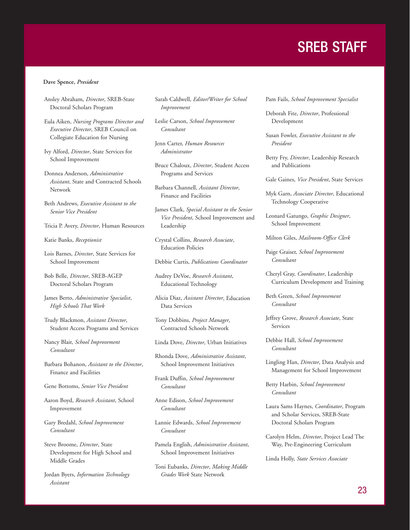## SREB STAFF

#### **Dave Spence,** *President*

Ansley Abraham, *Director*, SREB-State Doctoral Scholars Program

Eula Aiken, *Nursing Programs Director and Executive Director*, SREB Council on Collegiate Education for Nursing

Ivy Alford, *Director*, State Services for School Improvement

Donnea Anderson, *Administrative Assistant*, State and Contracted Schools Network

Beth Andrews, *Executive Assistant to the Senior Vice President*

Tricia P. Avery, *Director*, Human Resources

Katie Banks, *Receptionist*

Lois Barnes, *Director*, State Services for School Improvement

Bob Belle, *Director*, SREB-AGEP Doctoral Scholars Program

James Berto, *Administrative Specialist*, *High Schools That Work*

Trudy Blackmon, *Assistant Director*, Student Access Programs and Services

Nancy Blair, *School Improvement Consultant*

Barbara Bohanon, *Assistant to the Director*, Finance and Facilities

Gene Bottoms, *Senior Vice President*

Aaron Boyd, *Research Assistant*, School Improvement

Gary Bredahl, *School Improvement Consultant*

Steve Broome, *Director*, State Development for High School and Middle Grades

Jordan Byers, *Information Technology Assistant*

Sarah Caldwell, *Editor/Writer for School Improvement*

Leslie Carson, *School Improvement Consultant*

Jenn Carter, *Human Resources Administrator*

Bruce Chaloux, *Director*, Student Access Programs and Services

Barbara Channell, *Assistant Director*, Finance and Facilities

James Clark, *Special Assistant to the Senior Vice President*, School Improvement and Leadership

Crystal Collins, *Research Associate*, Education Policies

Debbie Curtis, *Publications Coordinator*

Audrey DeVoe, *Research Assistant*, Educational Technology

Alicia Diaz, *Assistant Director*, Education Data Services

Tony Dobbins, *Project Manager*, Contracted Schools Network

Linda Dove, *Director*, Urban Initiatives

Rhonda Dove, *Administrative Assistant*, School Improvement Initiatives

Frank Duffin, *School Improvement Consultant*

Anne Edison, *School Improvement Consultant*

Lannie Edwards, *School Improvement Consultant*

Pamela English, *Administrative Assistant*, School Improvement Initiatives

Toni Eubanks, *Director*, *Making Middle Grades Work* State Network

Pam Fails, *School Improvement Specialist*

Deborah Fite, *Director*, Professional Development

Susan Fowler, *Executive Assistant to the President*

Betty Fry, *Director*, Leadership Research and Publications

Gale Gaines, *Vice President*, State Services

Myk Garn, *Associate Director*, Educational Technology Cooperative

Leonard Gatungo, *Graphic Designer*, School Improvement

Milton Giles, *Mailroom-Office Clerk*

Paige Graiser, *School Improvement Consultant*

Cheryl Gray, *Coordinator*, Leadership Curriculum Development and Training

Beth Green, *School Improvement Consultant*

Jeffrey Grove, *Research Associate*, State Services

Debbie Hall, *School Improvement Consultant*

Lingling Han, *Director*, Data Analysis and Management for School Improvement

Betty Harbin, *School Improvement Consultant*

Laura Sams Haynes, *Coordinator*, Program and Scholar Services, SREB-State Doctoral Scholars Program

Carolyn Helm, *Director*, Project Lead The Way, Pre-Engineering Curriculum

Linda Holly, *State Services Associate*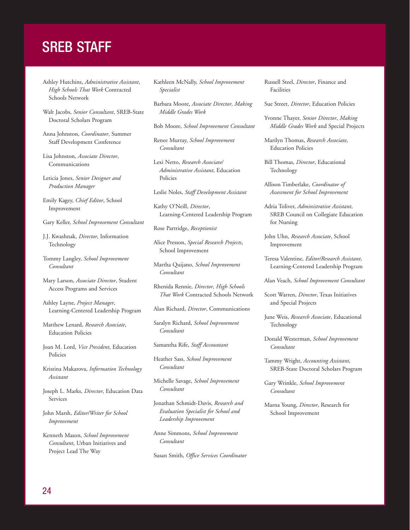## SREB STAFF

Ashley Hutchins, *Administrative Assistant*, *High Schools That Work* Contracted Schools Network

Walt Jacobs, *Senior Consultant*, SREB-State Doctoral Scholars Program

Anna Johnston, *Coordinator*, Summer Staff Development Conference

Lisa Johnston, *Associate Director*, Communications

Leticia Jones, *Senior Designer and Production Manager*

- Emily Kagey, *Chief Editor*, School Improvement
- Gary Keller, *School Improvement Consultant*
- J.J. Kwashnak, *Director*, Information **Technology**
- Tommy Langley, *School Improvement Consultant*
- Mary Larson, *Associate Director*, Student Access Programs and Services
- Ashley Layne, *Project Manager*, Learning-Centered Leadership Program
- Matthew Lenard, *Research Associate*, Education Policies
- Joan M. Lord, *Vice President*, Education Policies
- Kristina Makarova, *Information Technology Assistant*

Joseph L. Marks, *Director*, Education Data Services

John Marsh, *Editor/Writer for School Improvement*

Kenneth Mason, *School Improvement Consultant*, Urban Initiatives and Project Lead The Way

Kathleen McNally, *School Improvement Specialist*

Barbara Moore, *Associate Director*, *Making Middle Grades Work*

Bob Moore, *School Improvement Consultant*

Renee Murray, *School Improvement Consultant*

Lexi Netto, *Research Associate/ Administrative Assistant*, Education Policies

Leslie Noles, *Staff Development Assistant*

Kathy O'Neill, *Director*, Learning-Centered Leadership Program

Rose Partridge, *Receptionist*

Alice Presson, *Special Research Projects*, School Improvement

Martha Quijano, *School Improvement Consultant*

Rhenida Rennie, *Director*, *High Schools That Work* Contracted Schools Network

Alan Richard, *Director*, Communications

Saralyn Richard, *School Improvement Consultant*

Samantha Rife, *Staff Accountant*

Heather Sass, *School Improvement Consultant*

Michelle Savage, *School Improvement Consultant*

Jonathan Schmidt-Davis, *Research and Evaluation Specialist for School and Leadership Improvement*

Anne Simmons, *School Improvement Consultant*

Susan Smith, *Office Services Coordinator*

Russell Steel, *Director*, Finance and Facilities

Sue Street, *Director*, Education Policies

Yvonne Thayer, *Senior Director*, *Making Middle Grades Work* and Special Projects

Marilyn Thomas, *Research Associate*, Education Policies

Bill Thomas, *Director*, Educational Technology

Allison Timberlake, *Coordinator of Assessment for School Improvement*

Adria Toliver, *Administrative Assistant*, SREB Council on Collegiate Education for Nursing

John Uhn, *Research Associate*, School Improvement

Teresa Valentine, *Editor/Research Assistant*, Learning-Centered Leadership Program

Alan Veach, *School Improvement Consultant*

Scott Warren, *Director*, Texas Initiatives and Special Projects

June Weis, *Research Associate*, Educational Technology

Donald Westerman, *School Improvement Consultant*

Tammy Wright, *Accounting Assistant*, SREB-State Doctoral Scholars Program

Gary Wrinkle, *School Improvement Consultant*

Marna Young, *Director*, Research for School Improvement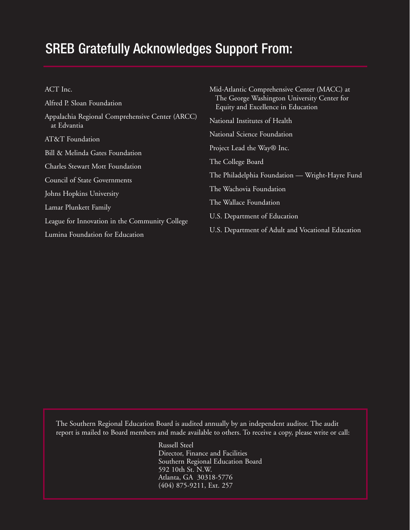### SREB Gratefully Acknowledges Support From:

| ACT Inc. |  |
|----------|--|
|          |  |

Alfred P. Sloan Foundation Appalachia Regional Comprehensive Center (ARCC) at Edvantia AT&T Foundation Bill & Melinda Gates Foundation Charles Stewart Mott Foundation Council of State Governments Johns Hopkins University Lamar Plunkett Family League for Innovation in the Community College Lumina Foundation for Education

|    | Mid-Atlantic Comprehensive Center (MACC) at<br>The George Washington University Center for<br>Equity and Excellence in Education |
|----|----------------------------------------------------------------------------------------------------------------------------------|
| C) | National Institutes of Health                                                                                                    |
|    | National Science Foundation                                                                                                      |
|    | Project Lead the Way® Inc.                                                                                                       |
|    | The College Board                                                                                                                |
|    | The Philadelphia Foundation — Wright-Hayre Fund                                                                                  |
|    | The Wachovia Foundation                                                                                                          |
|    | The Wallace Foundation                                                                                                           |
|    | U.S. Department of Education                                                                                                     |
|    | U.S. Department of Adult and Vocational Education                                                                                |

The Southern Regional Education Board is audited annually by an independent auditor. The audit report is mailed to Board members and made available to others. To receive a copy, please write or call:

> Russell Steel Director, Finance and Facilities Southern Regional Education Board 592 10th St. N.W. Atlanta, GA 30318-5776 (404) 875-9211, Ext. 257